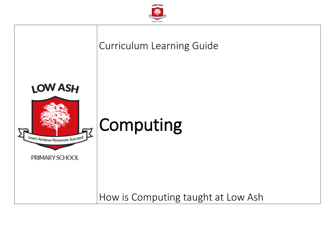

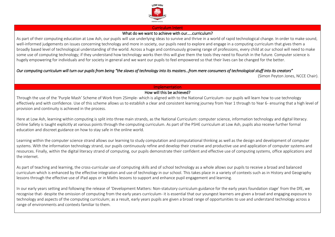

#### Curriculum Intent

### What do we want to achieve with our.....curriculum?

As part of their computing education at Low Ash, our pupils will use underlying ideas to survive and thrive in a world of rapid technological change. In order to make sound, well-informed judgements on issues concerning technology and more in society, our pupils need to explore and engage in a computing curriculum that gives them a broadly based level of technological understanding of the world. Across a huge and continuously growing range of professions, every child at our school will need to make some use of computing technology; if they understand how technology works then this will give them the tools they need to flourish in the future. Computer science is hugely empowering for individuals and for society in general and we want our pupils to feel empowered so that their lives can be changed for the better.

#### *Our computing curriculum will turn our pupils from being "the slaves of technology into its masters…from mere consumers of technological stuff into its creators"*

(Simon Peyton Jones, NCCE Chair).

### Implementation

## How will this be achieved?

Through the use of the 'Purple Mash' Scheme of Work from 2Simple- which is aligned with to the National Curriculum- our pupils will learn how to use technology effectively and with confidence. Use of this scheme allows us to establish a clear and consistent learning journey from Year 1 through to Year 6- ensuring that a high level of provision and continuity is achieved in the process.

Here at Low Ash, learning within computing is split into three main strands, as the National Curriculum: computer science, information technology and digital literacy. Online Safety is taught explicitly at various points through the computing curriculum. As part of the PSHE curriculum at Low Ash, pupils also receive further formal education and discreet guidance on how to stay safe in the online world.

Learning within the computer science strand allows our learning to study computation and computational thinking as well as the design and development of computer systems. With the information technology strand, our pupils continuously refine and develop their creative and productive use and application of computer systems and resources. Finally, within the digital literacy strand of computing, our pupils demonstrate their confident and effective use of computing systems, office applications and the internet.

As part of teaching and learning, the cross-curricular use of computing skills and of school technology as a whole allows our pupils to receive a broad and balanced curriculum which is enhanced by the effective integration and use of technology in our school. This takes place in a variety of contexts such as in History and Geography lessons through the effective use of iPad apps or in Maths lessons to support and enhance pupil engagement and learning.

In our early years setting and following the release of 'Development Matters: Non-statutory curriculum guidance for the early years foundation stage' from the DfE, we recognise that- despite the omission of computing from the early years curriculum- it is essential that our youngest learners are given a broad and engaging exposure to technology and aspects of the computing curriculum; as a result, early years pupils are given a broad range of opportunities to use and understand technology across a range of environments and contexts familiar to them.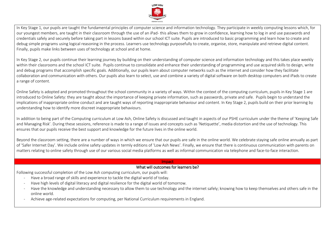

In Key Stage 1, our pupils are taught the fundamental principles of computer science and information technology. They participate in weekly computing lessons which, for our youngest members, are taught in their classroom through the use of an iPad- this allows them to grow in confidence, learning how to log in and use passwords and credentials safely and securely before taking part in lessons based within our school ICT suite. Pupils are introduced to basic programming and learn how to create and debug simple programs using logical reasoning in the process. Learners use technology purposefully to create, organise, store, manipulate and retrieve digital content. Finally, pupils make links between uses of technology at school and at home.

In Key Stage 2, our pupils continue their learning journey by building on their understanding of computer science and information technology and this takes place weekly within their classrooms and the school ICT suite. Pupils continue to consolidate and enhance their understanding of programming and use acquired skills to design, write and debug programs that accomplish specific goals. Additionally, our pupils learn about computer networks such as the internet and consider how they facilitate collaboration and communication with others. Our pupils also learn to select, use and combine a variety of digital software on both desktop computers and iPads to create a range of content.

Online Safety is adopted and promoted throughout the school community in a variety of ways. Within the context of the computing curriculum, pupils in Key Stage 1 are introduced to Online Safety: they are taught about the importance of keeping private information, such as passwords, private and safe. Pupils begin to understand the implications of inappropriate online conduct and are taught ways of reporting inappropriate behaviour and content. In Key Stage 2, pupils build on their prior learning by understanding how to identify more discreet inappropriate behaviours.

In addition to being part of the Computing curriculum at Low Ash, Online Safety is discussed and taught in aspects of our PSHE curriculum under the theme of 'Keeping Safe and Managing Risk'. During these sessions, reference is made to a range of issues and concepts such as 'Netiquette', media distortion and the use of technology. This ensures that our pupils receive the best support and knowledge for the future lives in the online world.

Beyond the classroom setting, there are a number of ways in which we ensure that our pupils are safe in the online world. We celebrate staying safe online annually as part of 'Safer Internet Day'. We include online safety updates in termly editions of 'Low Ash News'. Finally, we ensure that there is continuous communication with parents on matters relating to online safety through use of our various social media platforms as well as informal communication via telephone and face-to-face interaction.

#### Impact

#### What will outcomes for learners be?

Following successful completion of the Low Ash computing curriculum, our pupils will:

- Have a broad range of skills and experience to tackle the digital world of today.
- Have high levels of digital literacy and digital resilience for the digital world of tomorrow.
- Have the knowledge and understanding necessary to allow them to use technology and the internet safely; knowing how to keep themselves and others safe in the online world.
- Achieve age-related expectations for computing, per National Curriculum requirements in England.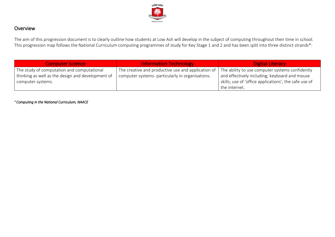

# Overview

The aim of this progression document is to clearly outline how students at Low Ash will develop in the subject of computing throughout their time in school. This progression map follows the National Curriculum computing programmes of study for Key Stage 1 and 2 and has been split into three distinct strands\*:

| <b>Computer Science</b>                           | <b>Information Technology</b>                      | <b>Digital Literacy</b>                               |
|---------------------------------------------------|----------------------------------------------------|-------------------------------------------------------|
| The study of computation and computational        | The creative and productive use and application of | The ability to use computer systems confidently       |
| thinking as well as the design and development of | computer systems- particularly in organisations.   | and effectively including; keyboard and mouse         |
| computer systems.                                 |                                                    | skills; use of 'office applications'; the safe use of |
|                                                   |                                                    | the internet.                                         |

\**Computing in the National Curriculum, NAACE*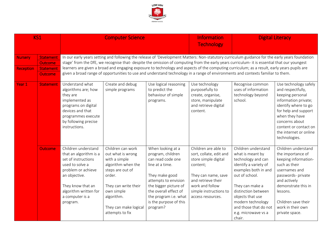

| KS1                                |                                                                   | <b>Computer Science</b>                                                                                                                                                                                                                                                                                                                                                                                                                                                                                                                                                          |                                                                                                                                                                                                             |                                                                                                                                                                                                                                           | <b>Information</b><br><b>Technology</b>                                                                                                                                                            | <b>Digital Literacy</b>                                                                                                                                                                                                                                                       |                                                                                                                                                                                                                                                |  |  |  |
|------------------------------------|-------------------------------------------------------------------|----------------------------------------------------------------------------------------------------------------------------------------------------------------------------------------------------------------------------------------------------------------------------------------------------------------------------------------------------------------------------------------------------------------------------------------------------------------------------------------------------------------------------------------------------------------------------------|-------------------------------------------------------------------------------------------------------------------------------------------------------------------------------------------------------------|-------------------------------------------------------------------------------------------------------------------------------------------------------------------------------------------------------------------------------------------|----------------------------------------------------------------------------------------------------------------------------------------------------------------------------------------------------|-------------------------------------------------------------------------------------------------------------------------------------------------------------------------------------------------------------------------------------------------------------------------------|------------------------------------------------------------------------------------------------------------------------------------------------------------------------------------------------------------------------------------------------|--|--|--|
| <b>Nursery</b><br><b>Reception</b> | <b>Statement</b><br><b>Outcome</b><br>Statement<br><b>Outcome</b> | In our early years setting and following the release of 'Development Matters: Non-statutory curriculum guidance for the early years foundation<br>stage' from the DfE, we recognise that- despite the omission of computing from the early years curriculum- it is essential that our youngest<br>learners are given a broad and engaging exposure to technology and aspects of the computing curriculum; as a result, early years pupils are<br>given a broad range of opportunities to use and understand technology in a range of environments and contexts familiar to them. |                                                                                                                                                                                                             |                                                                                                                                                                                                                                           |                                                                                                                                                                                                    |                                                                                                                                                                                                                                                                               |                                                                                                                                                                                                                                                |  |  |  |
| Year 1                             | <b>Statement</b>                                                  | Understand what<br>algorithms are; how<br>they are<br>implemented as<br>programs on digital<br>devices and that<br>programmes execute<br>by following precise<br>instructions.                                                                                                                                                                                                                                                                                                                                                                                                   | Create and debug<br>simple programs                                                                                                                                                                         | Use logical reasoning<br>to predict the<br>behaviour of simple<br>programs.                                                                                                                                                               | Use technology<br>purposefully to<br>create, organise,<br>store, manipulate<br>and retrieve digital<br>content.                                                                                    | Recognise common<br>uses of information<br>technology beyond<br>school.                                                                                                                                                                                                       | Use technology safely<br>and respectfully,<br>keeping personal<br>information private;<br>identify where to go<br>for help and support<br>when they have<br>concerns about<br>content or contact on<br>the internet or online<br>technologies. |  |  |  |
|                                    | <b>Outcome</b>                                                    | Children understand<br>that an algorithm is a<br>set of instructions<br>used to solve a<br>problem or achieve<br>an objective.<br>They know that an<br>algorithm written for<br>a computer is a<br>program.                                                                                                                                                                                                                                                                                                                                                                      | Children can work<br>out what is wrong<br>with a simple<br>algorithm when the<br>steps are out of<br>order.<br>They can write their<br>own simple<br>algorithm.<br>They can make logical<br>attempts to fix | When looking at a<br>program, children<br>can read code one<br>line at a time.<br>They make good<br>attempts to envision<br>the bigger picture of<br>the overall effect of<br>the program i.e. what<br>is the purpose of this<br>program? | Children are able to<br>sort, collate, edit and<br>store simple digital<br>content;<br>They can name, save<br>and retrieve their<br>work and follow<br>simple instructions to<br>access resources. | Children understand<br>what is meant by<br>technology and can<br>identify a variety of<br>examples both in and<br>out of school.<br>They can make a<br>distinction between<br>objects that use<br>modern technology<br>and those that do not<br>e.g. microwave vs a<br>chair. | Children understand<br>the importance of<br>keeping information-<br>such as their<br>usernames and<br>passwords- private<br>and actively<br>demonstrate this in<br>lessons.<br>Children save their<br>work in their own<br>private space.      |  |  |  |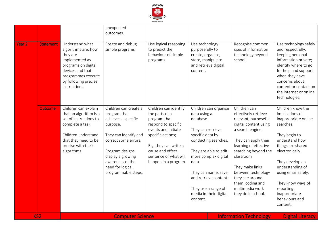

|                                       |                                                                                                                                                                                 | unexpected<br>outcomes.                                                                                                                                                                                                           |                                                                                                                                                                                                                          |                                                                                                                                                                                                                                                                                            |                                                                                                                                                                                                                                                                                                                          |                                                                                                                                                                                                                                                                                                     |
|---------------------------------------|---------------------------------------------------------------------------------------------------------------------------------------------------------------------------------|-----------------------------------------------------------------------------------------------------------------------------------------------------------------------------------------------------------------------------------|--------------------------------------------------------------------------------------------------------------------------------------------------------------------------------------------------------------------------|--------------------------------------------------------------------------------------------------------------------------------------------------------------------------------------------------------------------------------------------------------------------------------------------|--------------------------------------------------------------------------------------------------------------------------------------------------------------------------------------------------------------------------------------------------------------------------------------------------------------------------|-----------------------------------------------------------------------------------------------------------------------------------------------------------------------------------------------------------------------------------------------------------------------------------------------------|
| Year <sub>2</sub><br><b>Statement</b> | Understand what<br>algorithms are; how<br>they are<br>implemented as<br>programs on digital<br>devices and that<br>programmes execute<br>by following precise<br>instructions.  | Create and debug<br>simple programs                                                                                                                                                                                               | Use logical reasoning<br>to predict the<br>behaviour of simple<br>programs.                                                                                                                                              | Use technology<br>purposefully to<br>create, organise,<br>store, manipulate<br>and retrieve digital<br>content.                                                                                                                                                                            | Recognise common<br>uses of information<br>technology beyond<br>school.                                                                                                                                                                                                                                                  | Use technology safely<br>and respectfully,<br>keeping personal<br>information private;<br>identify where to go<br>for help and support<br>when they have<br>concerns about<br>content or contact on<br>the internet or online<br>technologies.                                                      |
| <b>Outcome</b>                        | Children can explain<br>that an algorithm is a<br>set of instructions to<br>complete a task.<br>Children understand<br>that they need to be<br>precise with their<br>algorithms | Children can create a<br>program that<br>achieves a specific<br>purpose.<br>They can identify and<br>correct some errors.<br>Program designs<br>display a growing<br>awareness of the<br>need for logical,<br>programmable steps. | Children can identify<br>the parts of a<br>program that<br>respond to specific<br>events and initiate<br>specific actions;<br>E.g. they can write a<br>cause and effect<br>sentence of what will<br>happen in a program. | Children can organise<br>data using a<br>database.<br>They can retrieve<br>specific data by<br>conducting searches.<br>They are able to edit<br>more complex digital<br>data.<br>They can name, save<br>and retrieve content.<br>They use a range of<br>media in their digital<br>content. | Children can<br>effectively retrieve<br>relevant, purposeful<br>digital content using<br>a search engine.<br>They can apply their<br>learning of effective<br>searching beyond the<br>classroom<br>They make links<br>between technology<br>they see around<br>them, coding and<br>multimedia work<br>they do in school. | Children know the<br>implications of<br>inappropriate online<br>searches.<br>They begin to<br>understand how<br>things are shared<br>electronically.<br>They develop an<br>understanding of<br>using email safely.<br>They know ways of<br>reporting<br>inappropriate<br>behaviours and<br>content. |
| KS <sub>2</sub>                       |                                                                                                                                                                                 | <b>Computer Science</b>                                                                                                                                                                                                           |                                                                                                                                                                                                                          |                                                                                                                                                                                                                                                                                            | <b>Information Technology</b>                                                                                                                                                                                                                                                                                            | <b>Digital Literacy</b>                                                                                                                                                                                                                                                                             |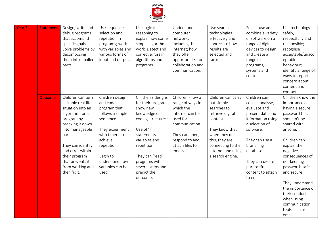

| Year <sub>3</sub> | <b>Statement</b> | Design, write and<br>debug programs<br>that accomplish<br>specific goals.<br>Solve problems by<br>decomposing<br>them into smaller<br>parts.                                                                                                                     | Use sequence,<br>selection and<br>repetition in<br>programs; work<br>with variables and<br>various forms of<br>input and output.                                                                         | Use logical<br>reasoning to<br>explain how some<br>simple algorithms<br>work. Detect and<br>correct errors in<br>algorithms and<br>programs.                                                                                                 | Understand<br>computer<br>networks<br>including the<br>internet; how<br>they offer<br>opportunities for<br>collaboration and<br>communication.                     | Use search<br>technologies<br>effectively and<br>appreciate how<br>results are<br>selected and<br>ranked.                                                                                           | Select, use and<br>combine a variety<br>of software on a<br>range of digital<br>devices to design<br>and create a<br>range of<br>programs,<br>systems and<br>content.                                                                     | Use technology<br>safely,<br>respectfully and<br>responsibly;<br>recognise<br>acceptable/unacc<br>eptable<br>behaviour;<br>identify a range of<br>ways to report<br>concern about<br>content and<br>contact.                                                                                                                                      |
|-------------------|------------------|------------------------------------------------------------------------------------------------------------------------------------------------------------------------------------------------------------------------------------------------------------------|----------------------------------------------------------------------------------------------------------------------------------------------------------------------------------------------------------|----------------------------------------------------------------------------------------------------------------------------------------------------------------------------------------------------------------------------------------------|--------------------------------------------------------------------------------------------------------------------------------------------------------------------|-----------------------------------------------------------------------------------------------------------------------------------------------------------------------------------------------------|-------------------------------------------------------------------------------------------------------------------------------------------------------------------------------------------------------------------------------------------|---------------------------------------------------------------------------------------------------------------------------------------------------------------------------------------------------------------------------------------------------------------------------------------------------------------------------------------------------|
|                   | <b>Outcome</b>   | Children can turn<br>a simple real-life<br>situation into an<br>algorithm for a<br>program by<br>breaking it down<br>into manageable<br>parts.<br>They can identify<br>and error within<br>their program<br>that prevents it<br>from working and<br>then fix it. | Children design<br>and code a<br>program that<br>follows a simple<br>sequence.<br>They experiment<br>with timers to<br>achieve<br>repetition.<br>Begin to<br>understand how<br>variables can be<br>used. | Children's designs<br>for their programs<br>show new<br>knowledge of<br>coding structures;<br>Use of 'if'<br>statements,<br>variables and<br>repetition.<br>They can 'read'<br>programs with<br>several steps and<br>predict the<br>outcome. | Children know a<br>range of ways in<br>which the<br>internet can be<br>used for<br>communication<br>They can open,<br>respond to and<br>attach files to<br>emails. | Children can carry<br>out simple<br>searches to<br>retrieve digital<br>content.<br>They know that,<br>when they do<br>this, they are<br>connecting to the<br>internet and using<br>a search engine. | Children can<br>collect, analyse,<br>evaluate and<br>present data and<br>information using<br>a selection of<br>software.<br>They can use a<br>branching<br>database.<br>They can create<br>purposeful<br>content to attach<br>to emails. | Children know the<br>importance of<br>having a secure<br>password that<br>shouldn't be<br>shared with<br>anyone.<br>Children can<br>explain the<br>negative<br>consequences of<br>not keeping<br>passwords safe<br>and secure.<br>They understand<br>the importance of<br>their conduct<br>when using<br>communication<br>tools such as<br>email. |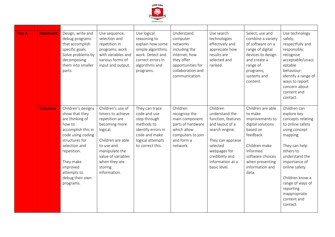

| Year <sub>4</sub> | <b>Statement</b> | Design, write and<br>debug programs<br>that accomplish<br>specific goals.<br>Solve problems by<br>decomposing<br>them into smaller<br>parts.                                                                                           | Use sequence,<br>selection and<br>repetition in<br>programs; work<br>with variables and<br>various forms of<br>input and output.                                                                             | Use logical<br>reasoning to<br>explain how some<br>simple algorithms<br>work. Detect and<br>correct errors in<br>algorithms and<br>programs. | Understand<br>computer<br>networks<br>including the<br>internet; how<br>they offer<br>opportunities for<br>collaboration and<br>communication. | Use search<br>technologies<br>effectively and<br>appreciate how<br>results are<br>selected and<br>ranked.                                                                                     | Select, use and<br>combine a variety<br>of software on a<br>range of digital<br>devices to design<br>and create a<br>range of<br>programs,<br>systems and<br>content.                         | Use technology<br>safely,<br>respectfully and<br>responsibly;<br>recognise<br>acceptable/unacc<br>eptable<br>behaviour;<br>identify a range of<br>ways to report<br>concern about<br>content and<br>contact.                                                                         |
|-------------------|------------------|----------------------------------------------------------------------------------------------------------------------------------------------------------------------------------------------------------------------------------------|--------------------------------------------------------------------------------------------------------------------------------------------------------------------------------------------------------------|----------------------------------------------------------------------------------------------------------------------------------------------|------------------------------------------------------------------------------------------------------------------------------------------------|-----------------------------------------------------------------------------------------------------------------------------------------------------------------------------------------------|-----------------------------------------------------------------------------------------------------------------------------------------------------------------------------------------------|--------------------------------------------------------------------------------------------------------------------------------------------------------------------------------------------------------------------------------------------------------------------------------------|
|                   | <b>Outcome</b>   | Children's designs<br>show that they<br>are thinking of<br>how to<br>accomplish this in<br>code using coding<br>structures for<br>selection and<br>repetition.<br>They make<br>improved<br>attempts to<br>debug their own<br>programs. | Children's use of<br>timers to achieve<br>repetition are<br>becoming more<br>logical.<br>Children are able<br>to use and<br>manipulate the<br>value of variables<br>when they are<br>storing<br>information. | They can trace<br>code and use<br>step-through<br>methods to<br>identify errors in<br>code and make<br>logical attempts<br>to correct this.  | Children<br>recognise the<br>main component<br>parts of hardware<br>which allow<br>computers to join<br>and form a<br>network.                 | Children<br>understand the<br>function, features<br>and layout of a<br>search engine.<br>They can appraise<br>selected<br>webpages for<br>credibility and<br>information at a<br>basic level. | Children are able<br>to make<br>improvements to<br>digital solutions<br>based on<br>feedback.<br>Children make<br>informed<br>software choices<br>when presenting<br>information and<br>data. | Children can<br>explore key<br>concepts relating<br>to online safety<br>using concept<br>mapping.<br>They can help<br>others to<br>understand the<br>importance of<br>online safety.<br>Children know a<br>range of ways of<br>reporting<br>inappropriate<br>content and<br>contact. |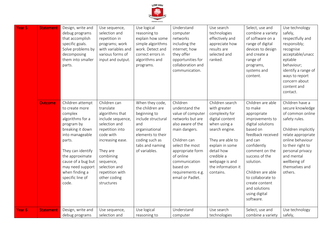

| Year <sub>5</sub> | <b>Statement</b> | Design, write and<br>debug programs<br>that accomplish<br>specific goals.<br>Solve problems by<br>decomposing<br>them into smaller<br>parts.                                                                                                                      | Use sequence,<br>selection and<br>repetition in<br>programs; work<br>with variables and<br>various forms of<br>input and output.                                                                                                               | Use logical<br>reasoning to<br>explain how some<br>simple algorithms<br>work. Detect and<br>correct errors in<br>algorithms and<br>programs.                                  | Understand<br>computer<br>networks<br>including the<br>internet; how<br>they offer<br>opportunities for<br>collaboration and<br>communication.                                                                                                      | Use search<br>technologies<br>effectively and<br>appreciate how<br>results are<br>selected and<br>ranked.                                                                                                                      | Select, use and<br>combine a variety<br>of software on a<br>range of digital<br>devices to design<br>and create a<br>range of<br>programs,<br>systems and<br>content.                                                                                                                                      | Use technology<br>safely,<br>respectfully and<br>responsibly;<br>recognise<br>acceptable/unacc<br>eptable<br>behaviour;<br>identify a range of<br>ways to report<br>concern about<br>content and<br>contact.                                  |
|-------------------|------------------|-------------------------------------------------------------------------------------------------------------------------------------------------------------------------------------------------------------------------------------------------------------------|------------------------------------------------------------------------------------------------------------------------------------------------------------------------------------------------------------------------------------------------|-------------------------------------------------------------------------------------------------------------------------------------------------------------------------------|-----------------------------------------------------------------------------------------------------------------------------------------------------------------------------------------------------------------------------------------------------|--------------------------------------------------------------------------------------------------------------------------------------------------------------------------------------------------------------------------------|------------------------------------------------------------------------------------------------------------------------------------------------------------------------------------------------------------------------------------------------------------------------------------------------------------|-----------------------------------------------------------------------------------------------------------------------------------------------------------------------------------------------------------------------------------------------|
|                   | <b>Outcome</b>   | Children attempt<br>to create more<br>complex<br>algorithms for a<br>program by<br>breaking it down<br>into manageable<br>parts.<br>They can identify<br>the approximate<br>cause of a bug but<br>may need support<br>when finding a<br>specific line of<br>code. | Children can<br>translate<br>algorithms that<br>include sequence,<br>selection and<br>repetition into<br>code with<br>increasing ease.<br>They are<br>combining<br>sequence,<br>selection and<br>repetition with<br>other coding<br>structures | When they code,<br>the children are<br>beginning to<br>include structural<br>and<br>organisational<br>elements to their<br>coding such as<br>tabs and naming<br>of variables. | Children<br>understand the<br>value of computer<br>networks but are<br>also aware of the<br>main dangers.<br>Children can<br>select the most<br>appropriate form<br>of online<br>communication<br>based on<br>requirements e.g.<br>email or Padlet. | Children search<br>with greater<br>complexity for<br>digital content<br>when using a<br>search engine.<br>They are able to<br>explain in some<br>detail how<br>credible a<br>webpage is and<br>the information it<br>contains. | Children are able<br>to make<br>appropriate<br>improvements to<br>digital solutions<br>based on<br>feedback received<br>and can<br>confidently<br>comment on the<br>success of the<br>solution.<br>Children are able<br>to collaborate to<br>create content<br>and solutions<br>using digital<br>software. | Children have a<br>secure knowledge<br>of common online<br>safety rules.<br>Children implicitly<br>relate appropriate<br>online behaviour<br>to their right to<br>personal privacy<br>and mental<br>wellbeing of<br>themselves and<br>others. |
| Year <sub>6</sub> | <b>Statement</b> | Design, write and<br>debug programs                                                                                                                                                                                                                               | Use sequence,<br>selection and                                                                                                                                                                                                                 | Use logical<br>reasoning to                                                                                                                                                   | Understand<br>computer                                                                                                                                                                                                                              | Use search<br>technologies                                                                                                                                                                                                     | Select, use and<br>combine a variety                                                                                                                                                                                                                                                                       | Use technology<br>safely,                                                                                                                                                                                                                     |